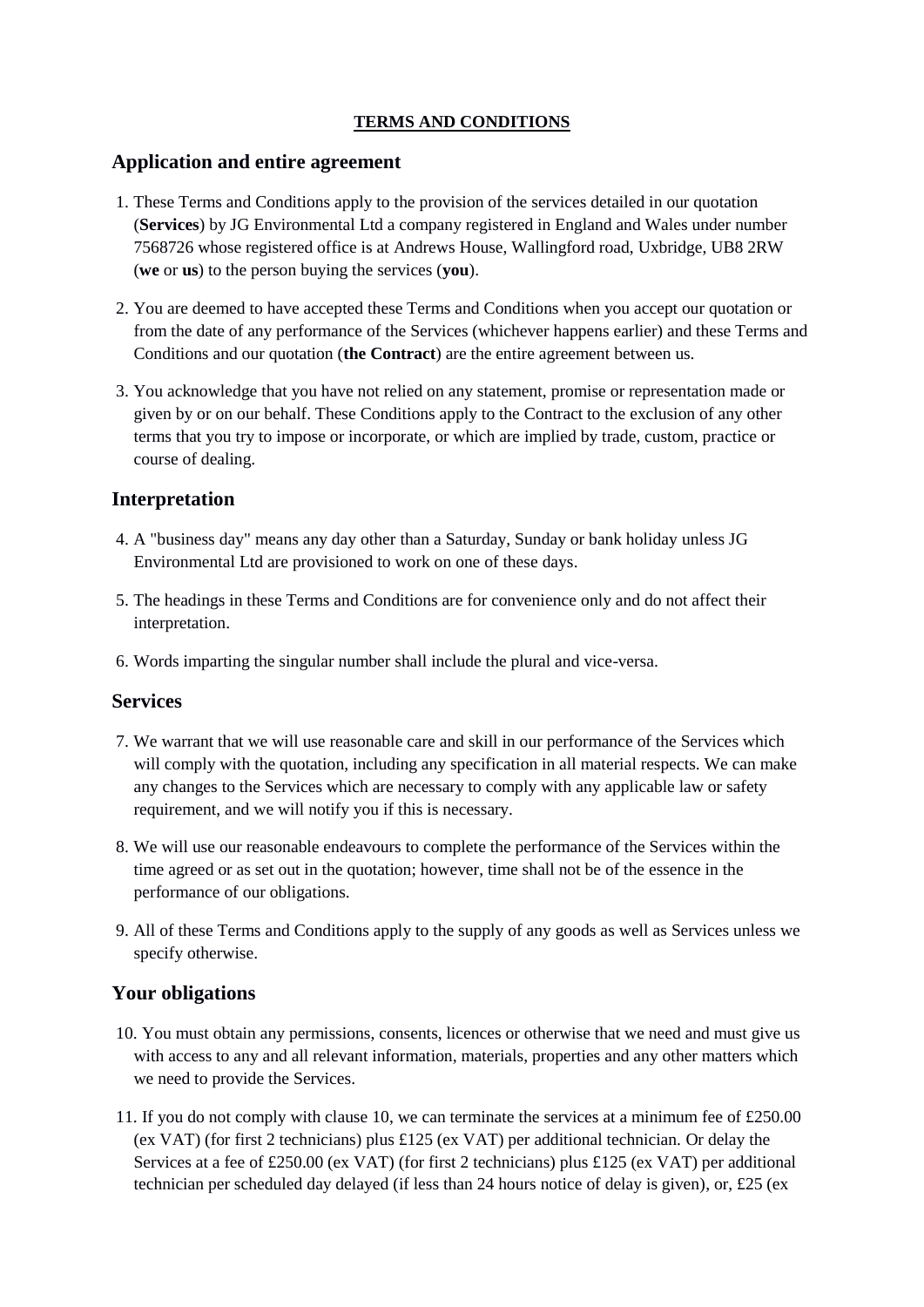## **TERMS AND CONDITIONS**

## **Application and entire agreement**

- 1. These Terms and Conditions apply to the provision of the services detailed in our quotation (**Services**) by JG Environmental Ltd a company registered in England and Wales under number 7568726 whose registered office is at Andrews House, Wallingford road, Uxbridge, UB8 2RW (**we** or **us**) to the person buying the services (**you**).
- 2. You are deemed to have accepted these Terms and Conditions when you accept our quotation or from the date of any performance of the Services (whichever happens earlier) and these Terms and Conditions and our quotation (**the Contract**) are the entire agreement between us.
- 3. You acknowledge that you have not relied on any statement, promise or representation made or given by or on our behalf. These Conditions apply to the Contract to the exclusion of any other terms that you try to impose or incorporate, or which are implied by trade, custom, practice or course of dealing.

# **Interpretation**

- 4. A "business day" means any day other than a Saturday, Sunday or bank holiday unless JG Environmental Ltd are provisioned to work on one of these days.
- 5. The headings in these Terms and Conditions are for convenience only and do not affect their interpretation.
- 6. Words imparting the singular number shall include the plural and vice-versa.

### **Services**

- 7. We warrant that we will use reasonable care and skill in our performance of the Services which will comply with the quotation, including any specification in all material respects. We can make any changes to the Services which are necessary to comply with any applicable law or safety requirement, and we will notify you if this is necessary.
- 8. We will use our reasonable endeavours to complete the performance of the Services within the time agreed or as set out in the quotation; however, time shall not be of the essence in the performance of our obligations.
- 9. All of these Terms and Conditions apply to the supply of any goods as well as Services unless we specify otherwise.

# **Your obligations**

- 10. You must obtain any permissions, consents, licences or otherwise that we need and must give us with access to any and all relevant information, materials, properties and any other matters which we need to provide the Services.
- 11. If you do not comply with clause 10, we can terminate the services at a minimum fee of £250.00 (ex VAT) (for first 2 technicians) plus £125 (ex VAT) per additional technician. Or delay the Services at a fee of £250.00 (ex VAT) (for first 2 technicians) plus £125 (ex VAT) per additional technician per scheduled day delayed (if less than 24 hours notice of delay is given), or, £25 (ex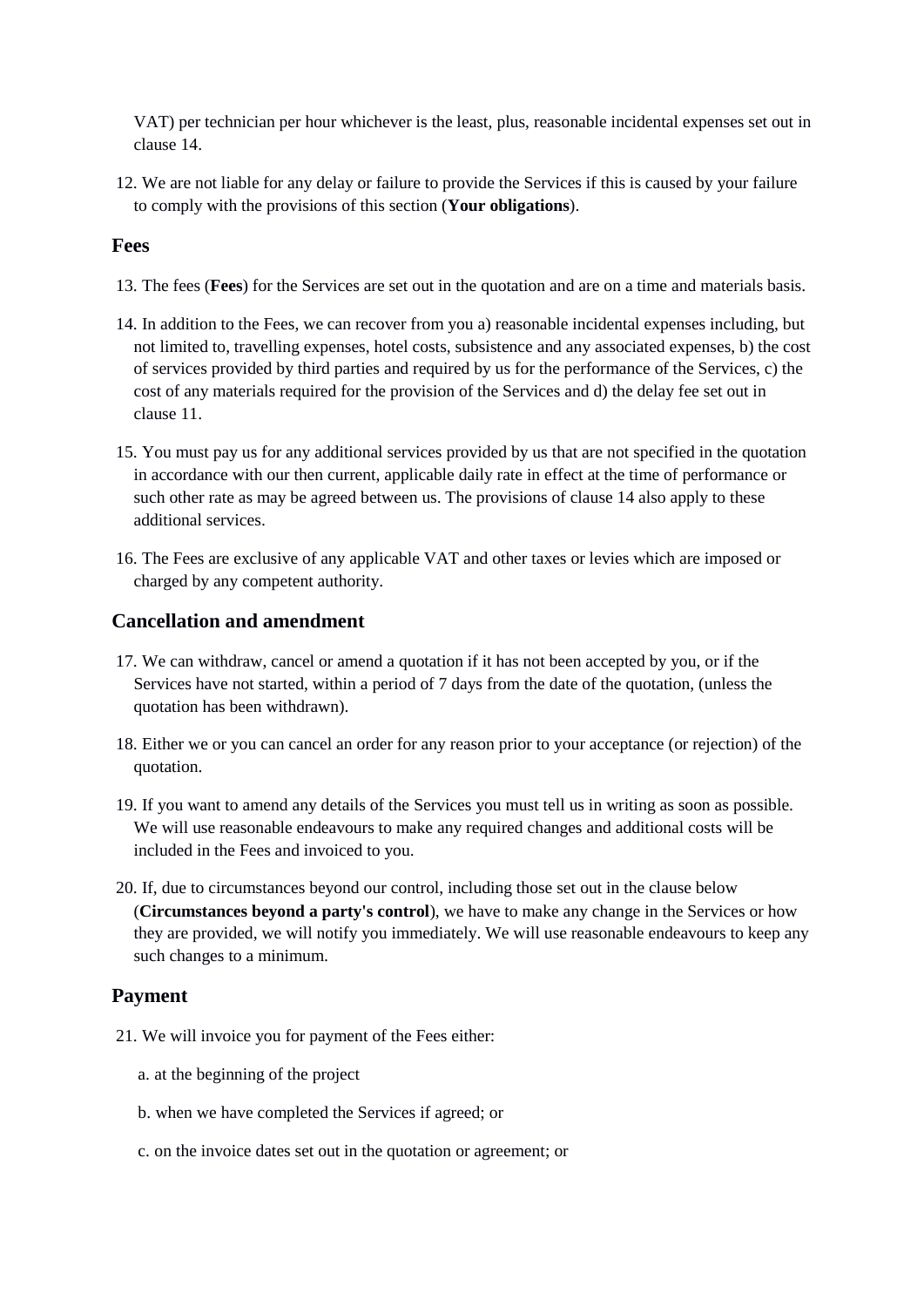VAT) per technician per hour whichever is the least, plus, reasonable incidental expenses set out in clause 14.

12. We are not liable for any delay or failure to provide the Services if this is caused by your failure to comply with the provisions of this section (**Your obligations**).

### **Fees**

- 13. The fees (**Fees**) for the Services are set out in the quotation and are on a time and materials basis.
- 14. In addition to the Fees, we can recover from you a) reasonable incidental expenses including, but not limited to, travelling expenses, hotel costs, subsistence and any associated expenses, b) the cost of services provided by third parties and required by us for the performance of the Services, c) the cost of any materials required for the provision of the Services and d) the delay fee set out in clause 11.
- 15. You must pay us for any additional services provided by us that are not specified in the quotation in accordance with our then current, applicable daily rate in effect at the time of performance or such other rate as may be agreed between us. The provisions of clause 14 also apply to these additional services.
- 16. The Fees are exclusive of any applicable VAT and other taxes or levies which are imposed or charged by any competent authority.

# **Cancellation and amendment**

- 17. We can withdraw, cancel or amend a quotation if it has not been accepted by you, or if the Services have not started, within a period of 7 days from the date of the quotation, (unless the quotation has been withdrawn).
- 18. Either we or you can cancel an order for any reason prior to your acceptance (or rejection) of the quotation.
- 19. If you want to amend any details of the Services you must tell us in writing as soon as possible. We will use reasonable endeavours to make any required changes and additional costs will be included in the Fees and invoiced to you.
- 20. If, due to circumstances beyond our control, including those set out in the clause below (**Circumstances beyond a party's control**), we have to make any change in the Services or how they are provided, we will notify you immediately. We will use reasonable endeavours to keep any such changes to a minimum.

# **Payment**

- 21. We will invoice you for payment of the Fees either:
	- a. at the beginning of the project
	- b. when we have completed the Services if agreed; or
	- c. on the invoice dates set out in the quotation or agreement; or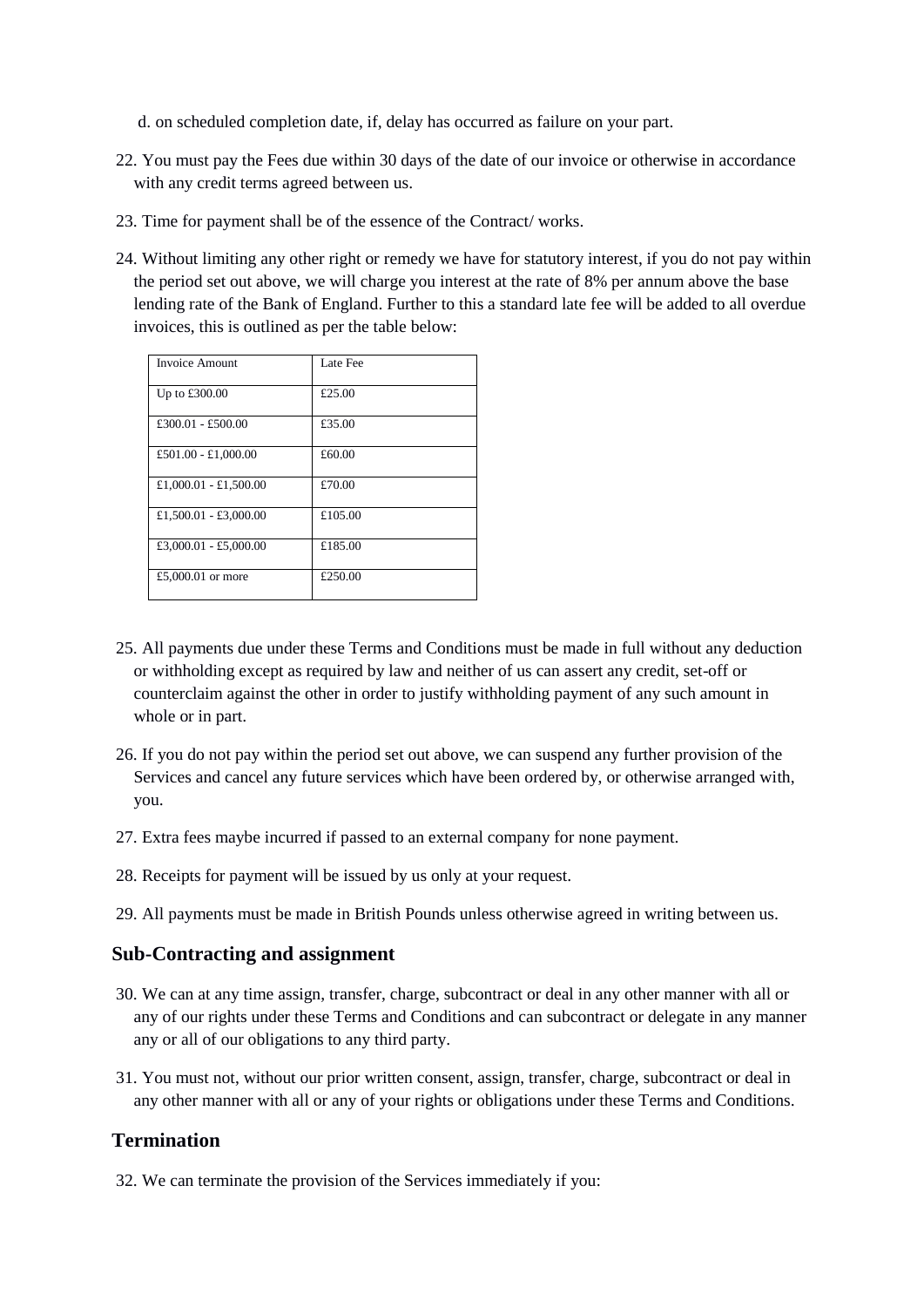- d. on scheduled completion date, if, delay has occurred as failure on your part.
- 22. You must pay the Fees due within 30 days of the date of our invoice or otherwise in accordance with any credit terms agreed between us.
- 23. Time for payment shall be of the essence of the Contract/ works.
- 24. Without limiting any other right or remedy we have for statutory interest, if you do not pay within the period set out above, we will charge you interest at the rate of 8% per annum above the base lending rate of the Bank of England. Further to this a standard late fee will be added to all overdue invoices, this is outlined as per the table below:

| <b>Invoice Amount</b> | Late Fee |
|-----------------------|----------|
| Up to £300.00         | £25.00   |
| £300.01 - £500.00     | £35.00   |
| £501.00 - £1,000.00   | £60.00   |
| £1,000.01 - £1,500.00 | £70.00   |
| £1,500.01 - £3,000.00 | £105.00  |
| £3,000.01 - £5,000.00 | £185.00  |
| £5,000.01 or more     | £250.00  |

- 25. All payments due under these Terms and Conditions must be made in full without any deduction or withholding except as required by law and neither of us can assert any credit, set-off or counterclaim against the other in order to justify withholding payment of any such amount in whole or in part.
- 26. If you do not pay within the period set out above, we can suspend any further provision of the Services and cancel any future services which have been ordered by, or otherwise arranged with, you.
- 27. Extra fees maybe incurred if passed to an external company for none payment.
- 28. Receipts for payment will be issued by us only at your request.
- 29. All payments must be made in British Pounds unless otherwise agreed in writing between us.

#### **Sub-Contracting and assignment**

- 30. We can at any time assign, transfer, charge, subcontract or deal in any other manner with all or any of our rights under these Terms and Conditions and can subcontract or delegate in any manner any or all of our obligations to any third party.
- 31. You must not, without our prior written consent, assign, transfer, charge, subcontract or deal in any other manner with all or any of your rights or obligations under these Terms and Conditions.

### **Termination**

32. We can terminate the provision of the Services immediately if you: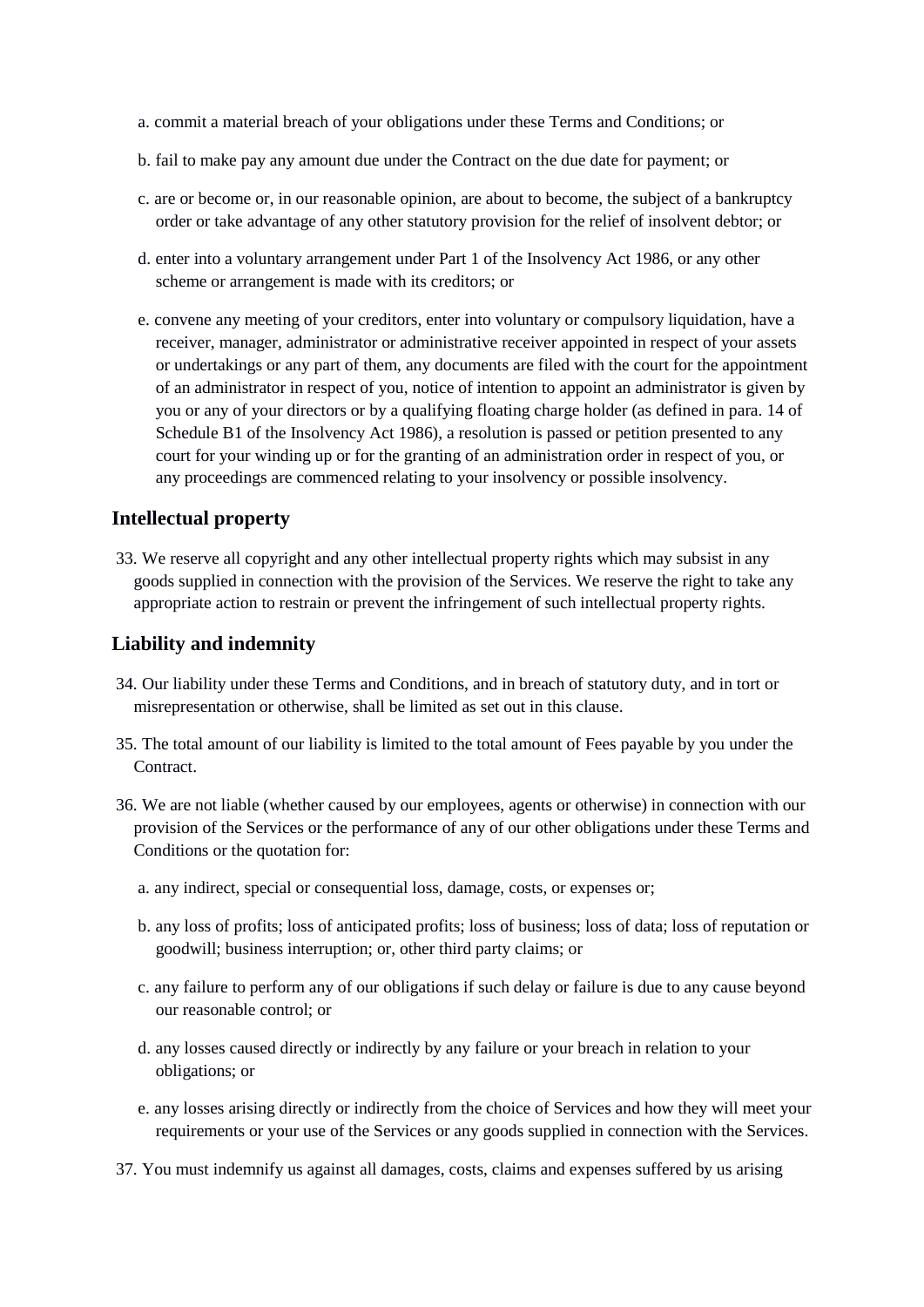- a. commit a material breach of your obligations under these Terms and Conditions; or
- b. fail to make pay any amount due under the Contract on the due date for payment; or
- c. are or become or, in our reasonable opinion, are about to become, the subject of a bankruptcy order or take advantage of any other statutory provision for the relief of insolvent debtor; or
- d. enter into a voluntary arrangement under Part 1 of the Insolvency Act 1986, or any other scheme or arrangement is made with its creditors; or
- e. convene any meeting of your creditors, enter into voluntary or compulsory liquidation, have a receiver, manager, administrator or administrative receiver appointed in respect of your assets or undertakings or any part of them, any documents are filed with the court for the appointment of an administrator in respect of you, notice of intention to appoint an administrator is given by you or any of your directors or by a qualifying floating charge holder (as defined in para. 14 of Schedule B1 of the Insolvency Act 1986), a resolution is passed or petition presented to any court for your winding up or for the granting of an administration order in respect of you, or any proceedings are commenced relating to your insolvency or possible insolvency.

## **Intellectual property**

33. We reserve all copyright and any other intellectual property rights which may subsist in any goods supplied in connection with the provision of the Services. We reserve the right to take any appropriate action to restrain or prevent the infringement of such intellectual property rights.

## **Liability and indemnity**

- 34. Our liability under these Terms and Conditions, and in breach of statutory duty, and in tort or misrepresentation or otherwise, shall be limited as set out in this clause.
- 35. The total amount of our liability is limited to the total amount of Fees payable by you under the Contract.
- 36. We are not liable (whether caused by our employees, agents or otherwise) in connection with our provision of the Services or the performance of any of our other obligations under these Terms and Conditions or the quotation for:
	- a. any indirect, special or consequential loss, damage, costs, or expenses or;
	- b. any loss of profits; loss of anticipated profits; loss of business; loss of data; loss of reputation or goodwill; business interruption; or, other third party claims; or
	- c. any failure to perform any of our obligations if such delay or failure is due to any cause beyond our reasonable control; or
	- d. any losses caused directly or indirectly by any failure or your breach in relation to your obligations; or
	- e. any losses arising directly or indirectly from the choice of Services and how they will meet your requirements or your use of the Services or any goods supplied in connection with the Services.
- 37. You must indemnify us against all damages, costs, claims and expenses suffered by us arising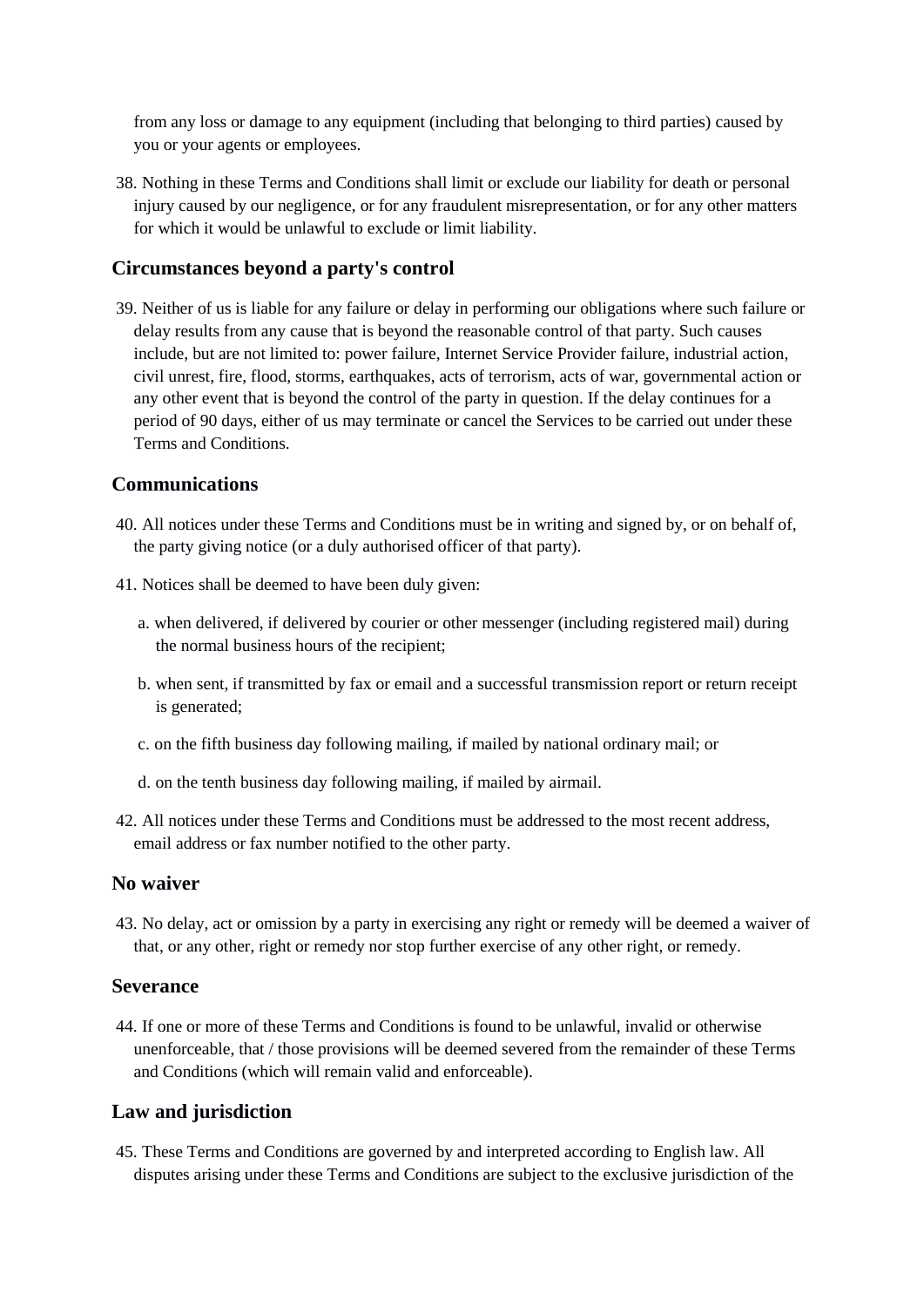from any loss or damage to any equipment (including that belonging to third parties) caused by you or your agents or employees.

38. Nothing in these Terms and Conditions shall limit or exclude our liability for death or personal injury caused by our negligence, or for any fraudulent misrepresentation, or for any other matters for which it would be unlawful to exclude or limit liability.

## **Circumstances beyond a party's control**

39. Neither of us is liable for any failure or delay in performing our obligations where such failure or delay results from any cause that is beyond the reasonable control of that party. Such causes include, but are not limited to: power failure, Internet Service Provider failure, industrial action, civil unrest, fire, flood, storms, earthquakes, acts of terrorism, acts of war, governmental action or any other event that is beyond the control of the party in question. If the delay continues for a period of 90 days, either of us may terminate or cancel the Services to be carried out under these Terms and Conditions.

## **Communications**

- 40. All notices under these Terms and Conditions must be in writing and signed by, or on behalf of, the party giving notice (or a duly authorised officer of that party).
- 41. Notices shall be deemed to have been duly given:
	- a. when delivered, if delivered by courier or other messenger (including registered mail) during the normal business hours of the recipient;
	- b. when sent, if transmitted by fax or email and a successful transmission report or return receipt is generated;
	- c. on the fifth business day following mailing, if mailed by national ordinary mail; or
	- d. on the tenth business day following mailing, if mailed by airmail.
- 42. All notices under these Terms and Conditions must be addressed to the most recent address, email address or fax number notified to the other party.

## **No waiver**

43. No delay, act or omission by a party in exercising any right or remedy will be deemed a waiver of that, or any other, right or remedy nor stop further exercise of any other right, or remedy.

### **Severance**

44. If one or more of these Terms and Conditions is found to be unlawful, invalid or otherwise unenforceable, that / those provisions will be deemed severed from the remainder of these Terms and Conditions (which will remain valid and enforceable).

### **Law and jurisdiction**

45. These Terms and Conditions are governed by and interpreted according to English law. All disputes arising under these Terms and Conditions are subject to the exclusive jurisdiction of the